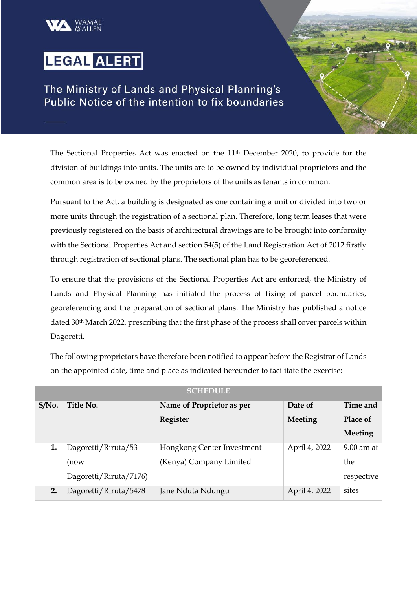## LEGAL ALERT

The Ministry of Lands and Physical Planning's Public Notice of the intention to fix boundaries

The Sectional Properties Act was enacted on the 11th December 2020, to provide for the division of buildings into units. The units are to be owned by individual proprietors and the common area is to be owned by the proprietors of the units as tenants in common.

Pursuant to the Act, a building is designated as one containing a unit or divided into two or more units through the registration of a sectional plan. Therefore, long term leases that were previously registered on the basis of architectural drawings are to be brought into conformity with the Sectional Properties Act and section 54(5) of the Land Registration Act of 2012 firstly through registration of sectional plans. The sectional plan has to be georeferenced.

To ensure that the provisions of the Sectional Properties Act are enforced, the Ministry of Lands and Physical Planning has initiated the process of fixing of parcel boundaries, georeferencing and the preparation of sectional plans. The Ministry has published a notice dated 30<sup>th</sup> March 2022, prescribing that the first phase of the process shall cover parcels within Dagoretti.

The following proprietors have therefore been notified to appear before the Registrar of Lands on the appointed date, time and place as indicated hereunder to facilitate the exercise:

| SCHEDOLE |                        |                            |                |              |  |  |  |  |  |
|----------|------------------------|----------------------------|----------------|--------------|--|--|--|--|--|
| S/No.    | Title No.              | Name of Proprietor as per  | Date of        | Time and     |  |  |  |  |  |
|          |                        | Register                   | <b>Meeting</b> | Place of     |  |  |  |  |  |
|          |                        |                            |                | Meeting      |  |  |  |  |  |
| 1.       | Dagoretti/Riruta/53    | Hongkong Center Investment | April 4, 2022  | $9.00$ am at |  |  |  |  |  |
|          | (now                   | (Kenya) Company Limited    |                | the          |  |  |  |  |  |
|          | Dagoretti/Riruta/7176) |                            |                | respective   |  |  |  |  |  |
| 2.       | Dagoretti/Riruta/5478  | Jane Nduta Ndungu          | April 4, 2022  | sites        |  |  |  |  |  |

**SCHEDULE**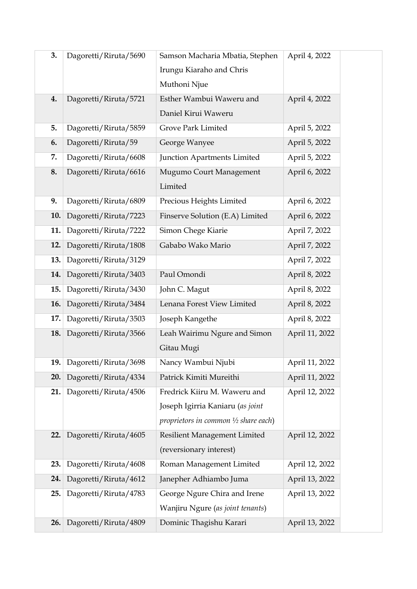| 3.  | Dagoretti/Riruta/5690 | Samson Macharia Mbatia, Stephen                 | April 4, 2022  |
|-----|-----------------------|-------------------------------------------------|----------------|
|     |                       | Irungu Kiaraho and Chris                        |                |
|     |                       | Muthoni Njue                                    |                |
| 4.  | Dagoretti/Riruta/5721 | Esther Wambui Waweru and                        | April 4, 2022  |
|     |                       | Daniel Kirui Waweru                             |                |
| 5.  | Dagoretti/Riruta/5859 | Grove Park Limited                              | April 5, 2022  |
| 6.  | Dagoretti/Riruta/59   | George Wanyee                                   | April 5, 2022  |
| 7.  | Dagoretti/Riruta/6608 | Junction Apartments Limited                     | April 5, 2022  |
| 8.  | Dagoretti/Riruta/6616 | Mugumo Court Management                         | April 6, 2022  |
|     |                       | Limited                                         |                |
| 9.  | Dagoretti/Riruta/6809 | Precious Heights Limited                        | April 6, 2022  |
| 10. | Dagoretti/Riruta/7223 | Finserve Solution (E.A) Limited                 | April 6, 2022  |
| 11. | Dagoretti/Riruta/7222 | Simon Chege Kiarie                              | April 7, 2022  |
| 12. | Dagoretti/Riruta/1808 | Gababo Wako Mario                               | April 7, 2022  |
| 13. | Dagoretti/Riruta/3129 |                                                 | April 7, 2022  |
| 14. | Dagoretti/Riruta/3403 | Paul Omondi                                     | April 8, 2022  |
| 15. | Dagoretti/Riruta/3430 | John C. Magut                                   | April 8, 2022  |
| 16. | Dagoretti/Riruta/3484 | Lenana Forest View Limited                      | April 8, 2022  |
| 17. | Dagoretti/Riruta/3503 | Joseph Kangethe                                 | April 8, 2022  |
| 18. | Dagoretti/Riruta/3566 | Leah Wairimu Ngure and Simon                    | April 11, 2022 |
|     |                       | Gitau Mugi                                      |                |
| 19. | Dagoretti/Riruta/3698 | Nancy Wambui Njubi                              | April 11, 2022 |
| 20. | Dagoretti/Riruta/4334 | Patrick Kimiti Mureithi                         | April 11, 2022 |
| 21. | Dagoretti/Riruta/4506 | Fredrick Kiiru M. Waweru and                    | April 12, 2022 |
|     |                       | Joseph Igirria Kaniaru (as joint                |                |
|     |                       | proprietors in common $\frac{1}{2}$ share each) |                |
| 22. | Dagoretti/Riruta/4605 | Resilient Management Limited                    | April 12, 2022 |
|     |                       | (reversionary interest)                         |                |
| 23. | Dagoretti/Riruta/4608 | Roman Management Limited                        | April 12, 2022 |
| 24. | Dagoretti/Riruta/4612 | Janepher Adhiambo Juma                          | April 13, 2022 |
| 25. | Dagoretti/Riruta/4783 | George Ngure Chira and Irene                    | April 13, 2022 |
|     |                       | Wanjiru Ngure (as joint tenants)                |                |
| 26. | Dagoretti/Riruta/4809 | Dominic Thagishu Karari                         | April 13, 2022 |